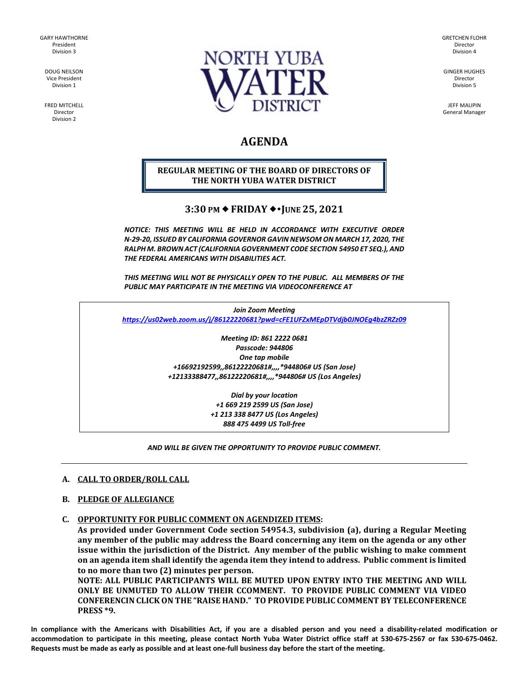GARY HAWTHORNE President Division 3

> DOUG NEILSON Vice President Division 1

FRED MITCHELL Director Division 2



GRETCHEN FLOHR Director Division 4

GINGER HUGHES Director Division 5

JEFF MAUPIN General Manager

# **AGENDA**

# **REGULAR MEETING OF THE BOARD OF DIRECTORS OF THE NORTH YUBA WATER DISTRICT**

# **3:30 PM ♦ FRIDAY ♦ • JUNE 25, 2021**

*NOTICE: THIS MEETING WILL BE HELD IN ACCORDANCE WITH EXECUTIVE ORDER N-29-20, ISSUED BY CALIFORNIA GOVERNOR GAVIN NEWSOM ON MARCH 17, 2020, THE RALPH M. BROWN ACT (CALIFORNIA GOVERNMENT CODE SECTION 54950 ET SEQ.), AND THE FEDERAL AMERICANS WITH DISABILITIES ACT.* 

*THIS MEETING WILL NOT BE PHYSICALLY OPEN TO THE PUBLIC. ALL MEMBERS OF THE PUBLIC MAY PARTICIPATE IN THE MEETING VIA VIDEOCONFERENCE AT* 

*Join Zoom Meeting <https://us02web.zoom.us/j/86122220681?pwd=cFE1UFZxMEpDTVdjb0JNOEg4bzZRZz09>*

> *Meeting ID: 861 2222 0681 Passcode: 944806 One tap mobile +16692192599,,86122220681#,,,,\*944806# US (San Jose) +12133388477,,86122220681#,,,,\*944806# US (Los Angeles)*

> > *Dial by your location +1 669 219 2599 US (San Jose) +1 213 338 8477 US (Los Angeles) 888 475 4499 US Toll-free*

# *AND WILL BE GIVEN THE OPPORTUNITY TO PROVIDE PUBLIC COMMENT.*

# **A. CALL TO ORDER/ROLL CALL**

# **B. PLEDGE OF ALLEGIANCE**

**C. OPPORTUNITY FOR PUBLIC COMMENT ON AGENDIZED ITEMS:** 

**As provided under Government Code section 54954.3, subdivision (a), during a Regular Meeting any member of the public may address the Board concerning any item on the agenda or any other issue within the jurisdiction of the District. Any member of the public wishing to make comment on an agenda item shall identify the agenda item they intend to address. Public comment is limited to no more than two (2) minutes per person.** 

**NOTE: ALL PUBLIC PARTICIPANTS WILL BE MUTED UPON ENTRY INTO THE MEETING AND WILL ONLY BE UNMUTED TO ALLOW THEIR CCOMMENT. TO PROVIDE PUBLIC COMMENT VIA VIDEO CONFERENCIN CLICK ON THE "RAISE HAND." TO PROVIDE PUBLIC COMMENT BY TELECONFERENCE PRESS \*9.**

**In compliance with the Americans with Disabilities Act, if you are a disabled person and you need a disability-related modification or accommodation to participate in this meeting, please contact North Yuba Water District office staff at 530-675-2567 or fax 530-675-0462. Requests must be made as early as possible and at least one-full business day before the start of the meeting.**